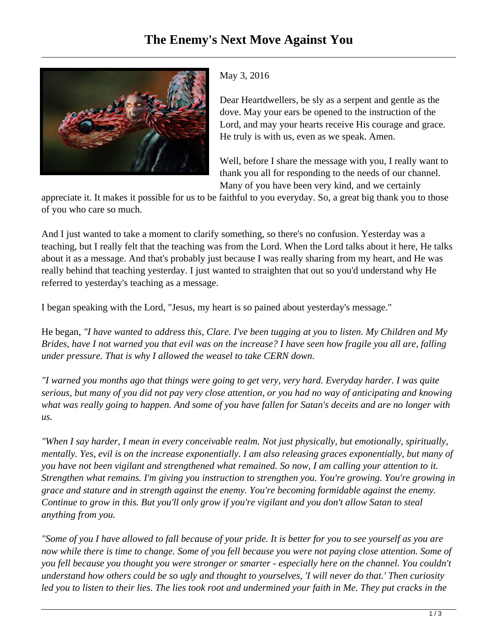

## May 3, 2016

Dear Heartdwellers, be sly as a serpent and gentle as the dove. May your ears be opened to the instruction of the Lord, and may your hearts receive His courage and grace. He truly is with us, even as we speak. Amen.

Well, before I share the message with you, I really want to thank you all for responding to the needs of our channel. Many of you have been very kind, and we certainly

appreciate it. It makes it possible for us to be faithful to you everyday. So, a great big thank you to those of you who care so much.

And I just wanted to take a moment to clarify something, so there's no confusion. Yesterday was a teaching, but I really felt that the teaching was from the Lord. When the Lord talks about it here, He talks about it as a message. And that's probably just because I was really sharing from my heart, and He was really behind that teaching yesterday. I just wanted to straighten that out so you'd understand why He referred to yesterday's teaching as a message.

I began speaking with the Lord, "Jesus, my heart is so pained about yesterday's message."

He began, *"I have wanted to address this, Clare. I've been tugging at you to listen. My Children and My Brides, have I not warned you that evil was on the increase? I have seen how fragile you all are, falling under pressure. That is why I allowed the weasel to take CERN down.* 

*"I warned you months ago that things were going to get very, very hard. Everyday harder. I was quite serious, but many of you did not pay very close attention, or you had no way of anticipating and knowing what was really going to happen. And some of you have fallen for Satan's deceits and are no longer with us.* 

*"When I say harder, I mean in every conceivable realm. Not just physically, but emotionally, spiritually, mentally. Yes, evil is on the increase exponentially. I am also releasing graces exponentially, but many of you have not been vigilant and strengthened what remained. So now, I am calling your attention to it. Strengthen what remains. I'm giving you instruction to strengthen you. You're growing. You're growing in grace and stature and in strength against the enemy. You're becoming formidable against the enemy. Continue to grow in this. But you'll only grow if you're vigilant and you don't allow Satan to steal anything from you.*

*"Some of you I have allowed to fall because of your pride. It is better for you to see yourself as you are now while there is time to change. Some of you fell because you were not paying close attention. Some of you fell because you thought you were stronger or smarter - especially here on the channel. You couldn't understand how others could be so ugly and thought to yourselves, 'I will never do that.' Then curiosity led you to listen to their lies. The lies took root and undermined your faith in Me. They put cracks in the*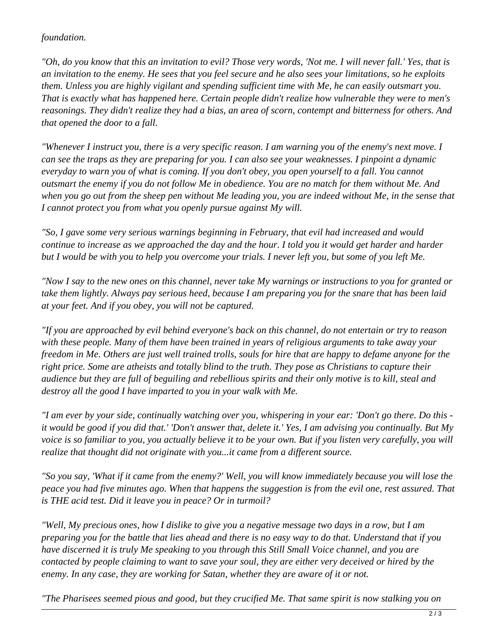## *foundation.*

*"Oh, do you know that this an invitation to evil? Those very words, 'Not me. I will never fall.' Yes, that is an invitation to the enemy. He sees that you feel secure and he also sees your limitations, so he exploits them. Unless you are highly vigilant and spending sufficient time with Me, he can easily outsmart you. That is exactly what has happened here. Certain people didn't realize how vulnerable they were to men's reasonings. They didn't realize they had a bias, an area of scorn, contempt and bitterness for others. And that opened the door to a fall.*

*"Whenever I instruct you, there is a very specific reason. I am warning you of the enemy's next move. I can see the traps as they are preparing for you. I can also see your weaknesses. I pinpoint a dynamic everyday to warn you of what is coming. If you don't obey, you open yourself to a fall. You cannot outsmart the enemy if you do not follow Me in obedience. You are no match for them without Me. And when you go out from the sheep pen without Me leading you, you are indeed without Me, in the sense that I cannot protect you from what you openly pursue against My will.*

*"So, I gave some very serious warnings beginning in February, that evil had increased and would continue to increase as we approached the day and the hour. I told you it would get harder and harder but I would be with you to help you overcome your trials. I never left you, but some of you left Me.* 

*"Now I say to the new ones on this channel, never take My warnings or instructions to you for granted or take them lightly. Always pay serious heed, because I am preparing you for the snare that has been laid at your feet. And if you obey, you will not be captured.* 

*"If you are approached by evil behind everyone's back on this channel, do not entertain or try to reason with these people. Many of them have been trained in years of religious arguments to take away your freedom in Me. Others are just well trained trolls, souls for hire that are happy to defame anyone for the right price. Some are atheists and totally blind to the truth. They pose as Christians to capture their audience but they are full of beguiling and rebellious spirits and their only motive is to kill, steal and destroy all the good I have imparted to you in your walk with Me.*

*"I am ever by your side, continually watching over you, whispering in your ear: 'Don't go there. Do this it would be good if you did that.' 'Don't answer that, delete it.' Yes, I am advising you continually. But My voice is so familiar to you, you actually believe it to be your own. But if you listen very carefully, you will realize that thought did not originate with you...it came from a different source.* 

*"So you say, 'What if it came from the enemy?' Well, you will know immediately because you will lose the peace you had five minutes ago. When that happens the suggestion is from the evil one, rest assured. That is THE acid test. Did it leave you in peace? Or in turmoil?*

*"Well, My precious ones, how I dislike to give you a negative message two days in a row, but I am preparing you for the battle that lies ahead and there is no easy way to do that. Understand that if you have discerned it is truly Me speaking to you through this Still Small Voice channel, and you are contacted by people claiming to want to save your soul, they are either very deceived or hired by the enemy. In any case, they are working for Satan, whether they are aware of it or not.* 

*"The Pharisees seemed pious and good, but they crucified Me. That same spirit is now stalking you on*